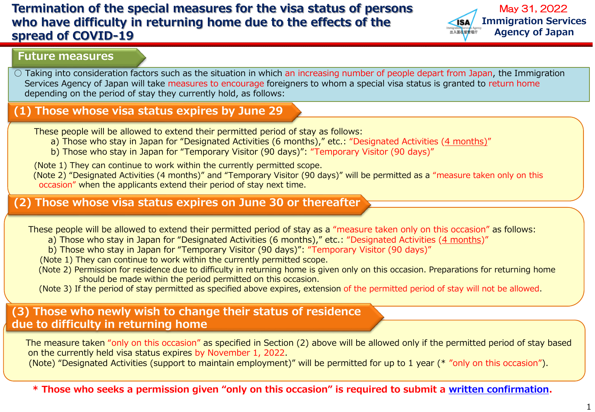# **Termination of the special measures for the visa status of persons who have difficulty in returning home due to the effects of the spread of COVID-19**



#### **Future measures**

 $\circ$  Taking into consideration factors such as the situation in which an increasing number of people depart from Japan, the Immigration Services Agency of Japan will take measures to encourage foreigners to whom a special visa status is granted to return home depending on the period of stay they currently hold, as follows:

## **(1) Those whose visa status expires by June 29**

These people will be allowed to extend their permitted period of stay as follows:

a) Those who stay in Japan for "Designated Activities (6 months)," etc.: "Designated Activities (4 months)"

b) Those who stay in Japan for "Temporary Visitor (90 days)": "Temporary Visitor (90 days)"

(Note 1) They can continue to work within the currently permitted scope.

(Note 2) "Designated Activities (4 months)" and "Temporary Visitor (90 days)" will be permitted as a "measure taken only on this occasion" when the applicants extend their period of stay next time.

#### **(2) Those whose visa status expires on June 30 or thereafter**

These people will be allowed to extend their permitted period of stay as a "measure taken only on this occasion" as follows:

- a) Those who stay in Japan for "Designated Activities (6 months)," etc.: "Designated Activities (4 months)"
- b) Those who stay in Japan for "Temporary Visitor (90 days)": "Temporary Visitor (90 days)"

(Note 1) They can continue to work within the currently permitted scope.

- (Note 2) Permission for residence due to difficulty in returning home is given only on this occasion. Preparations for returning home should be made within the period permitted on this occasion.
- (Note 3) If the period of stay permitted as specified above expires, extension of the permitted period of stay will not be allowed.

## **(3) Those who newly wish to change their status of residence due to difficulty in returning home**

The measure taken "only on this occasion" as specified in Section (2) above will be allowed only if the permitted period of stay based on the currently held visa status expires by November 1, 2022.

(Note) "Designated Activities (support to maintain employment)" will be permitted for up to 1 year (\* "only on this occasion").

**\* Those who seeks a permission given "only on this occasion" is required to submit a [written confirmation.](https://www.moj.go.jp/isa/content/001374584.doc)**